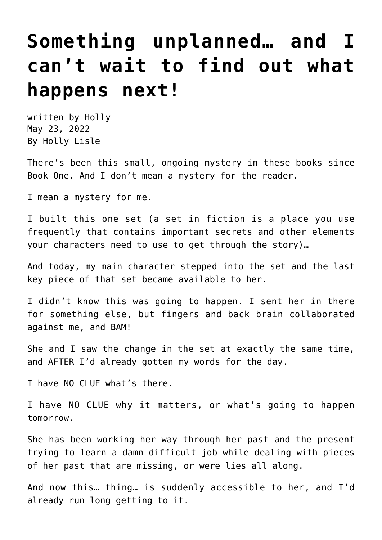## **[Something unplanned… and I](https://hollylisle.com/something-unplanned-and-i-cant-wait-to-find-out-what-happens-next/) [can't wait to find out what](https://hollylisle.com/something-unplanned-and-i-cant-wait-to-find-out-what-happens-next/) [happens next!](https://hollylisle.com/something-unplanned-and-i-cant-wait-to-find-out-what-happens-next/)**

written by Holly May 23, 2022 [By Holly Lisle](https://hollylisle.com)

There's been this small, ongoing mystery in these books since Book One. And I don't mean a mystery for the reader.

I mean a mystery for me.

I built this one set (a set in fiction is a place you use frequently that contains important secrets and other elements your characters need to use to get through the story)…

And today, my main character stepped into the set and the last key piece of that set became available to her.

I didn't know this was going to happen. I sent her in there for something else, but fingers and back brain collaborated against me, and BAM!

She and I saw the change in the set at exactly the same time, and AFTER I'd already gotten my words for the day.

I have NO CLUE what's there.

I have NO CLUE why it matters, or what's going to happen tomorrow.

She has been working her way through her past and the present trying to learn a damn difficult job while dealing with pieces of her past that are missing, or were lies all along.

And now this… thing… is suddenly accessible to her, and I'd already run long getting to it.